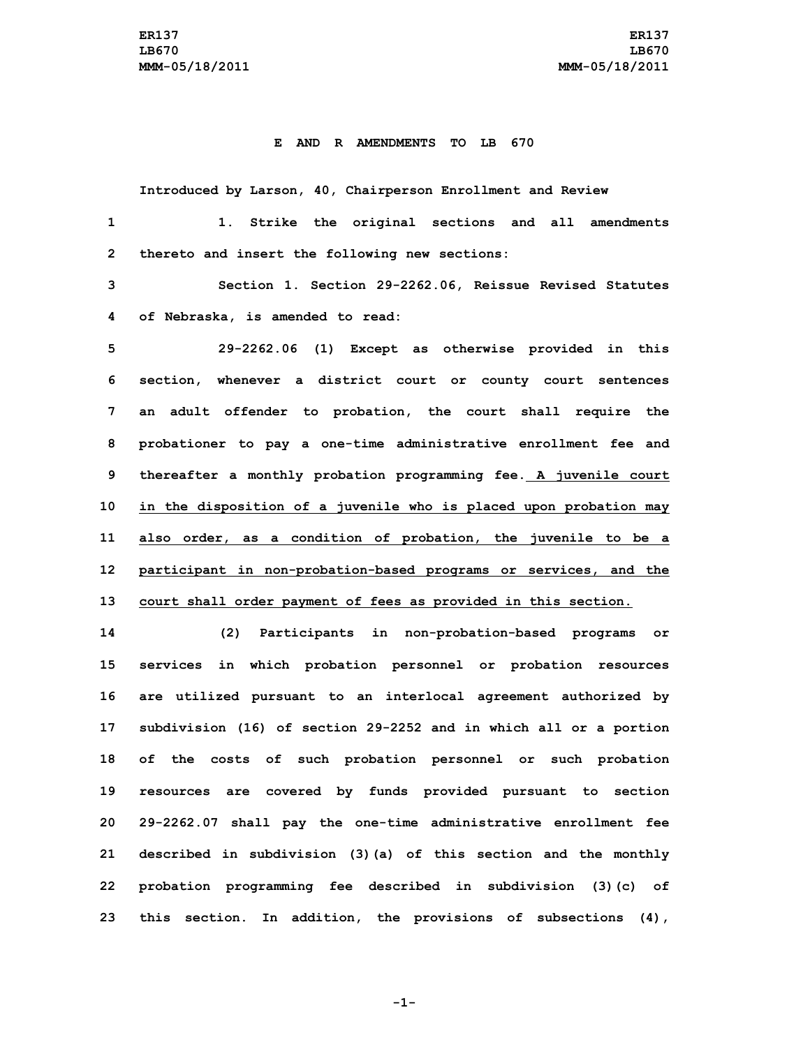## **E AND R AMENDMENTS TO LB 670**

**Introduced by Larson, 40, Chairperson Enrollment and Review 1. Strike the original sections and all amendments thereto and insert the following new sections: Section 1. Section 29-2262.06, Reissue Revised Statutes of Nebraska, is amended to read: 29-2262.06 (1) Except as otherwise provided in this**

 **section, whenever <sup>a</sup> district court or county court sentences an adult offender to probation, the court shall require the probationer to pay <sup>a</sup> one-time administrative enrollment fee and thereafter <sup>a</sup> monthly probation programming fee. <sup>A</sup> juvenile court in the disposition of <sup>a</sup> juvenile who is placed upon probation may also order, as <sup>a</sup> condition of probation, the juvenile to be <sup>a</sup> participant in non-probation-based programs or services, and the court shall order payment of fees as provided in this section.**

 **(2) Participants in non-probation-based programs or services in which probation personnel or probation resources are utilized pursuant to an interlocal agreement authorized by subdivision (16) of section 29-2252 and in which all or <sup>a</sup> portion of the costs of such probation personnel or such probation resources are covered by funds provided pursuant to section 29-2262.07 shall pay the one-time administrative enrollment fee described in subdivision (3)(a) of this section and the monthly probation programming fee described in subdivision (3)(c) of this section. In addition, the provisions of subsections (4),**

**-1-**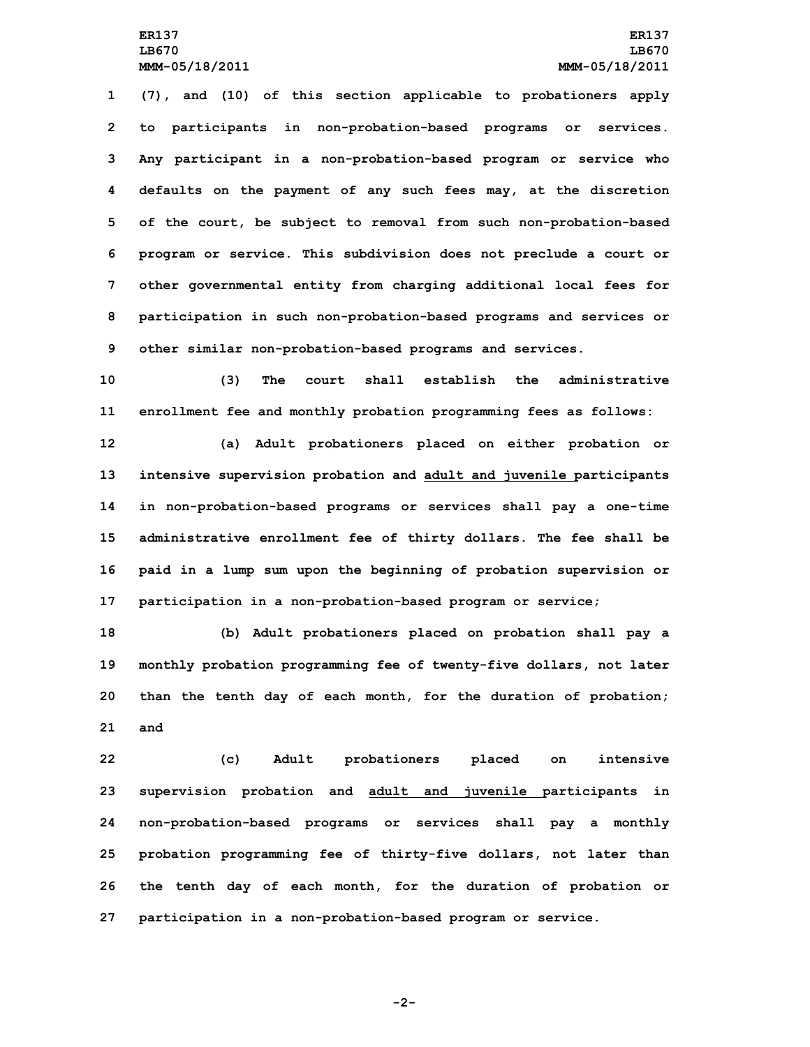**(7), and (10) of this section applicable to probationers apply to participants in non-probation-based programs or services. Any participant in <sup>a</sup> non-probation-based program or service who defaults on the payment of any such fees may, at the discretion of the court, be subject to removal from such non-probation-based program or service. This subdivision does not preclude <sup>a</sup> court or other governmental entity from charging additional local fees for participation in such non-probation-based programs and services or other similar non-probation-based programs and services.**

**10 (3) The court shall establish the administrative 11 enrollment fee and monthly probation programming fees as follows:**

 **(a) Adult probationers placed on either probation or intensive supervision probation and adult and juvenile participants in non-probation-based programs or services shall pay <sup>a</sup> one-time administrative enrollment fee of thirty dollars. The fee shall be paid in <sup>a</sup> lump sum upon the beginning of probation supervision or participation in <sup>a</sup> non-probation-based program or service;**

 **(b) Adult probationers placed on probation shall pay <sup>a</sup> monthly probation programming fee of twenty-five dollars, not later than the tenth day of each month, for the duration of probation; 21 and**

 **(c) Adult probationers placed on intensive supervision probation and adult and juvenile participants in non-probation-based programs or services shall pay <sup>a</sup> monthly probation programming fee of thirty-five dollars, not later than the tenth day of each month, for the duration of probation or participation in <sup>a</sup> non-probation-based program or service.**

**-2-**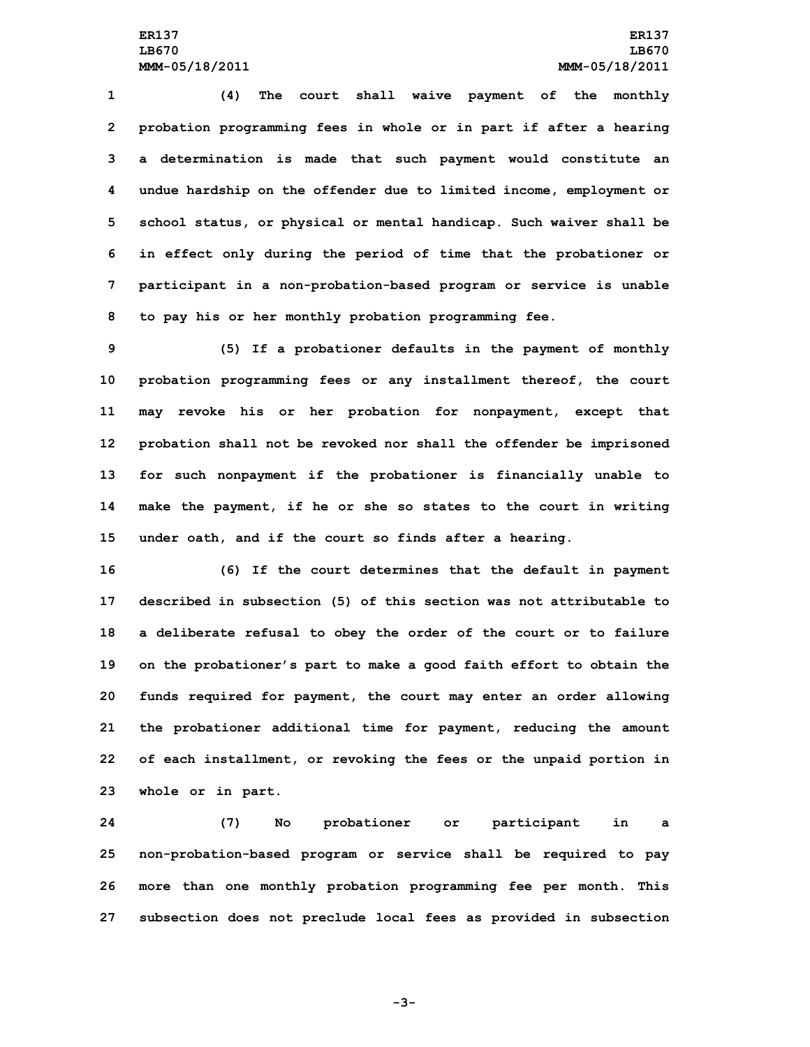**(4) The court shall waive payment of the monthly probation programming fees in whole or in part if after <sup>a</sup> hearing <sup>a</sup> determination is made that such payment would constitute an undue hardship on the offender due to limited income, employment or school status, or physical or mental handicap. Such waiver shall be in effect only during the period of time that the probationer or participant in <sup>a</sup> non-probation-based program or service is unable to pay his or her monthly probation programming fee.**

 **(5) If <sup>a</sup> probationer defaults in the payment of monthly probation programming fees or any installment thereof, the court may revoke his or her probation for nonpayment, except that probation shall not be revoked nor shall the offender be imprisoned for such nonpayment if the probationer is financially unable to make the payment, if he or she so states to the court in writing under oath, and if the court so finds after <sup>a</sup> hearing.**

 **(6) If the court determines that the default in payment described in subsection (5) of this section was not attributable to <sup>a</sup> deliberate refusal to obey the order of the court or to failure on the probationer's part to make <sup>a</sup> good faith effort to obtain the funds required for payment, the court may enter an order allowing the probationer additional time for payment, reducing the amount of each installment, or revoking the fees or the unpaid portion in whole or in part.**

 **(7) No probationer or participant in <sup>a</sup> non-probation-based program or service shall be required to pay more than one monthly probation programming fee per month. This subsection does not preclude local fees as provided in subsection**

**-3-**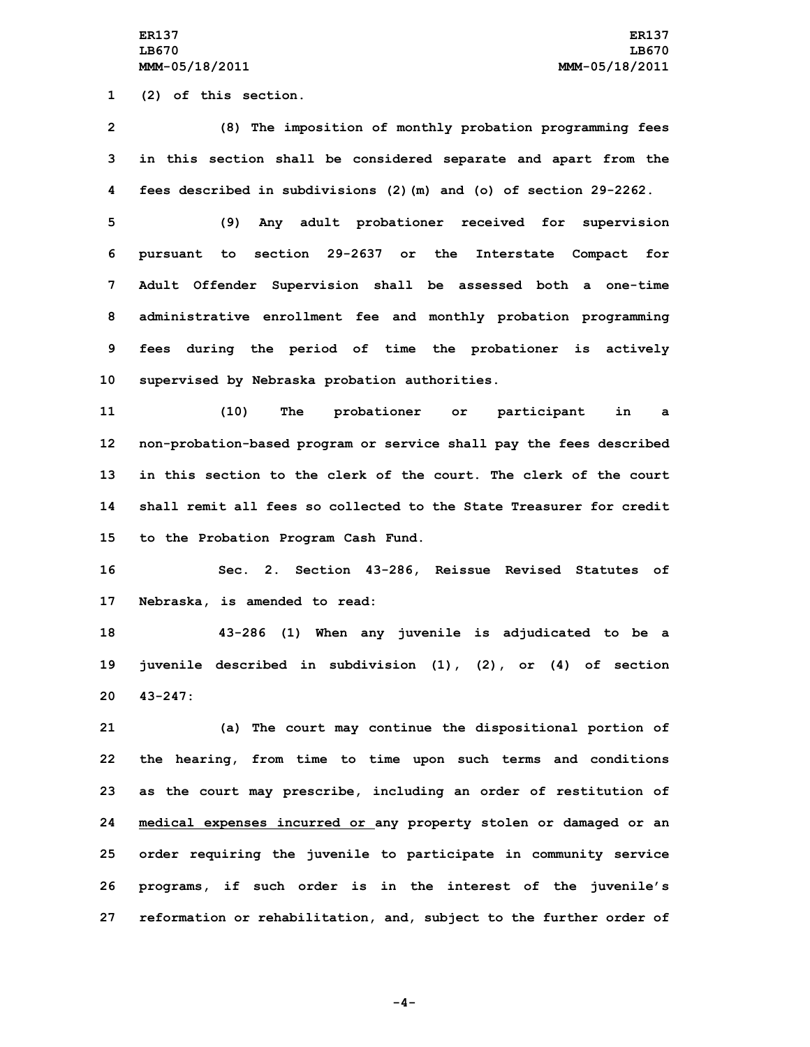**1 (2) of this section.**

**2 (8) The imposition of monthly probation programming fees 3 in this section shall be considered separate and apart from the 4 fees described in subdivisions (2)(m) and (o) of section 29-2262.**

 **(9) Any adult probationer received for supervision pursuant to section 29-2637 or the Interstate Compact for Adult Offender Supervision shall be assessed both <sup>a</sup> one-time administrative enrollment fee and monthly probation programming fees during the period of time the probationer is actively supervised by Nebraska probation authorities.**

 **(10) The probationer or participant in <sup>a</sup> non-probation-based program or service shall pay the fees described in this section to the clerk of the court. The clerk of the court shall remit all fees so collected to the State Treasurer for credit to the Probation Program Cash Fund.**

**16 Sec. 2. Section 43-286, Reissue Revised Statutes of 17 Nebraska, is amended to read:**

**18 43-286 (1) When any juvenile is adjudicated to be <sup>a</sup> 19 juvenile described in subdivision (1), (2), or (4) of section 20 43-247:**

 **(a) The court may continue the dispositional portion of the hearing, from time to time upon such terms and conditions as the court may prescribe, including an order of restitution of medical expenses incurred or any property stolen or damaged or an order requiring the juvenile to participate in community service programs, if such order is in the interest of the juvenile's reformation or rehabilitation, and, subject to the further order of**

**-4-**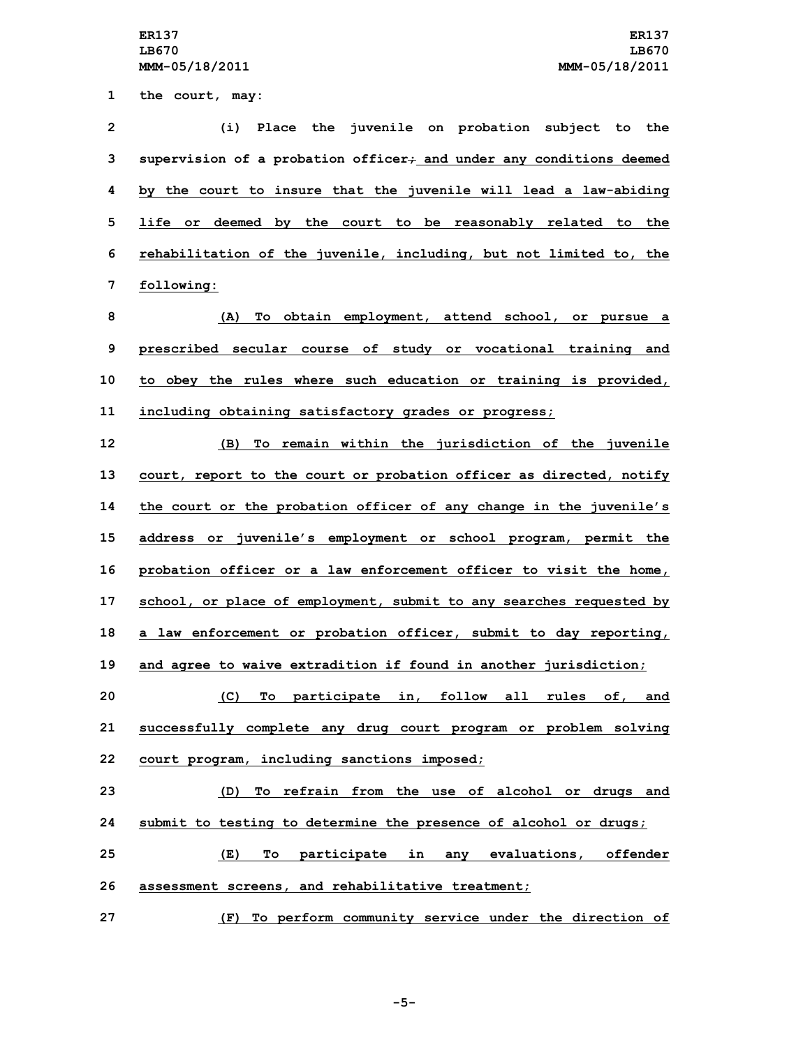**the court, may: (i) Place the juvenile on probation subject to the supervision of <sup>a</sup> probation officer; and under any conditions deemed by the court to insure that the juvenile will lead <sup>a</sup> law-abiding life or deemed by the court to be reasonably related to the rehabilitation of the juvenile, including, but not limited to, the following: (A) To obtain employment, attend school, or pursue <sup>a</sup> prescribed secular course of study or vocational training and to obey the rules where such education or training is provided, including obtaining satisfactory grades or progress; (B) To remain within the jurisdiction of the juvenile court, report to the court or probation officer as directed, notify the court or the probation officer of any change in the juvenile's address or juvenile's employment or school program, permit the probation officer or <sup>a</sup> law enforcement officer to visit the home, school, or place of employment, submit to any searches requested by <sup>a</sup> law enforcement or probation officer, submit to day reporting, and agree to waive extradition if found in another jurisdiction; (C) To participate in, follow all rules of, and successfully complete any drug court program or problem solving court program, including sanctions imposed; (D) To refrain from the use of alcohol or drugs and submit to testing to determine the presence of alcohol or drugs; (E) To participate in any evaluations, offender assessment screens, and rehabilitative treatment;**

**27 (F) To perform community service under the direction of**

**-5-**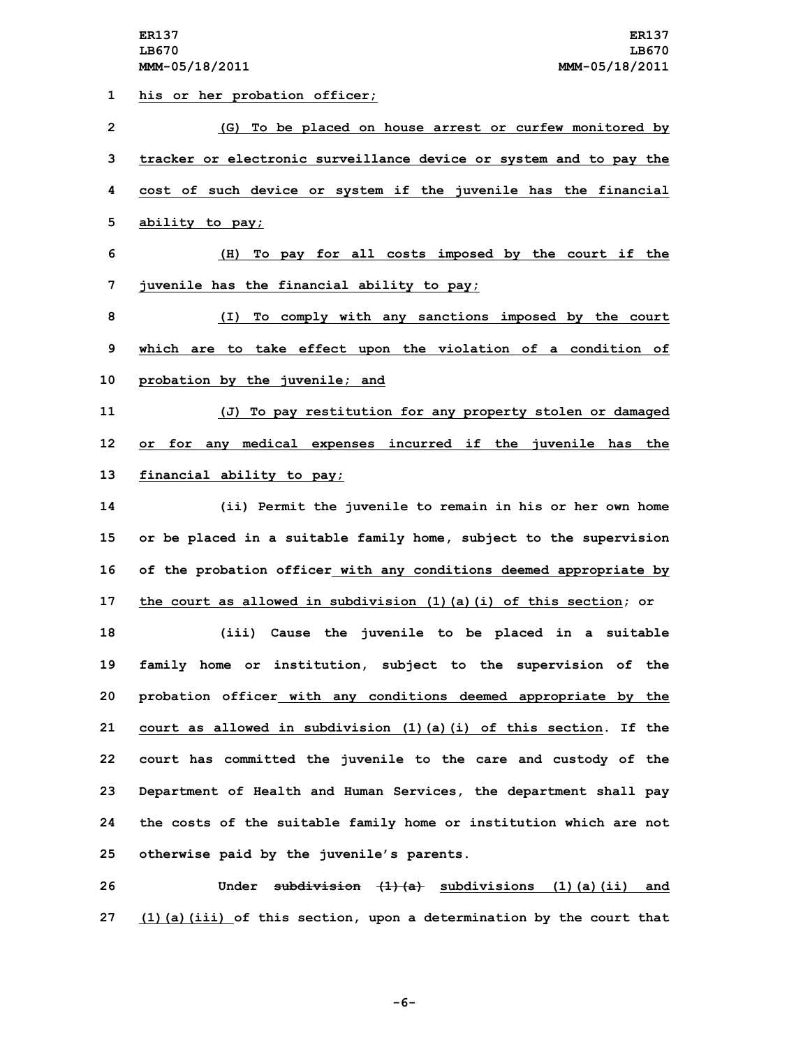**his or her probation officer; (G) To be placed on house arrest or curfew monitored by tracker or electronic surveillance device or system and to pay the cost of such device or system if the juvenile has the financial ability to pay; (H) To pay for all costs imposed by the court if the juvenile has the financial ability to pay; (I) To comply with any sanctions imposed by the court which are to take effect upon the violation of <sup>a</sup> condition of probation by the juvenile; and (J) To pay restitution for any property stolen or damaged or for any medical expenses incurred if the juvenile has the financial ability to pay; (ii) Permit the juvenile to remain in his or her own home or be placed in <sup>a</sup> suitable family home, subject to the supervision of the probation officer with any conditions deemed appropriate by the court as allowed in subdivision (1)(a)(i) of this section; or (iii) Cause the juvenile to be placed in <sup>a</sup> suitable family home or institution, subject to the supervision of the probation officer with any conditions deemed appropriate by the court as allowed in subdivision (1)(a)(i) of this section. If the court has committed the juvenile to the care and custody of the Department of Health and Human Services, the department shall pay the costs of the suitable family home or institution which are not otherwise paid by the juvenile's parents. Under subdivision (1)(a) subdivisions (1)(a)(ii) and**

**27 (1)(a)(iii) of this section, upon <sup>a</sup> determination by the court that**

**-6-**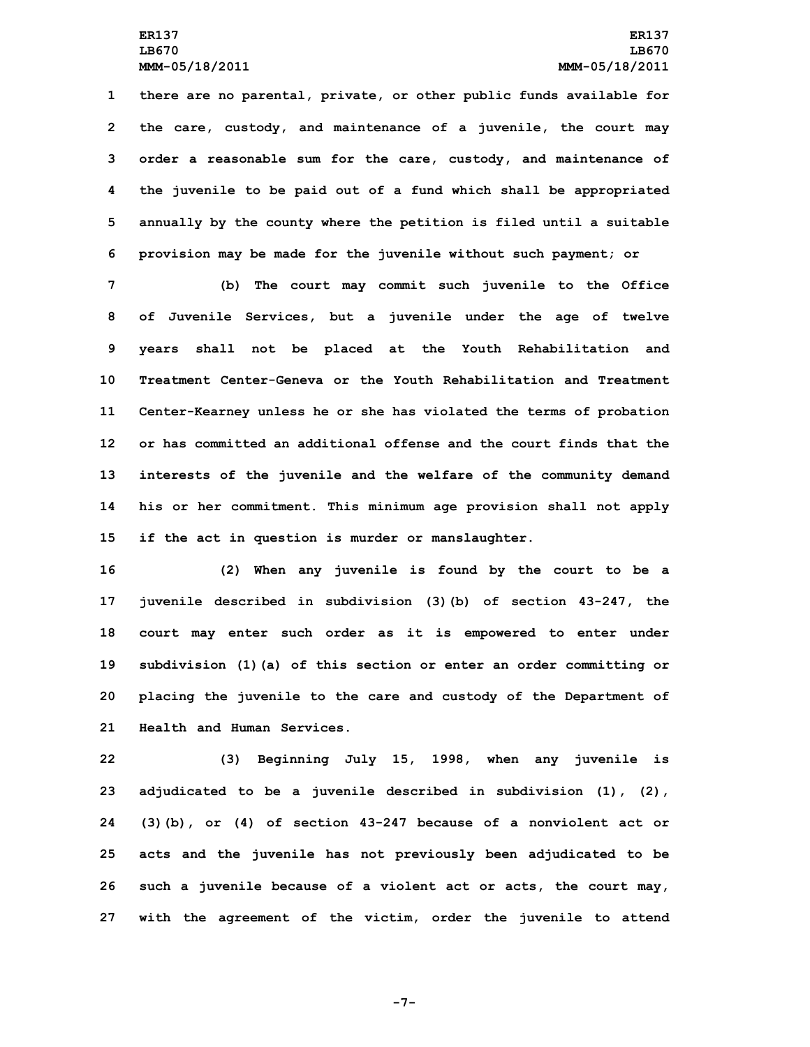**there are no parental, private, or other public funds available for the care, custody, and maintenance of <sup>a</sup> juvenile, the court may order <sup>a</sup> reasonable sum for the care, custody, and maintenance of the juvenile to be paid out of <sup>a</sup> fund which shall be appropriated annually by the county where the petition is filed until <sup>a</sup> suitable provision may be made for the juvenile without such payment; or**

 **(b) The court may commit such juvenile to the Office of Juvenile Services, but <sup>a</sup> juvenile under the age of twelve years shall not be placed at the Youth Rehabilitation and Treatment Center-Geneva or the Youth Rehabilitation and Treatment Center-Kearney unless he or she has violated the terms of probation or has committed an additional offense and the court finds that the interests of the juvenile and the welfare of the community demand his or her commitment. This minimum age provision shall not apply if the act in question is murder or manslaughter.**

 **(2) When any juvenile is found by the court to be <sup>a</sup> juvenile described in subdivision (3)(b) of section 43-247, the court may enter such order as it is empowered to enter under subdivision (1)(a) of this section or enter an order committing or placing the juvenile to the care and custody of the Department of Health and Human Services.**

 **(3) Beginning July 15, 1998, when any juvenile is adjudicated to be <sup>a</sup> juvenile described in subdivision (1), (2), (3)(b), or (4) of section 43-247 because of <sup>a</sup> nonviolent act or acts and the juvenile has not previously been adjudicated to be such <sup>a</sup> juvenile because of <sup>a</sup> violent act or acts, the court may, with the agreement of the victim, order the juvenile to attend**

**-7-**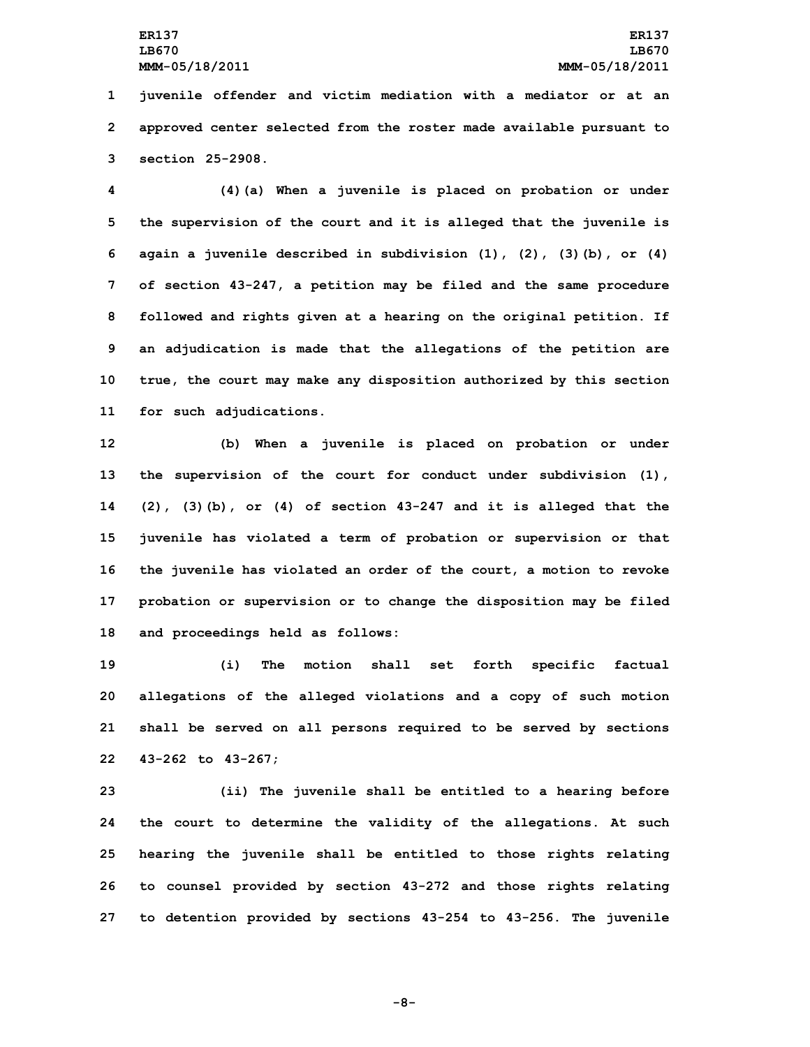**1 juvenile offender and victim mediation with <sup>a</sup> mediator or at an 2 approved center selected from the roster made available pursuant to 3 section 25-2908.**

 **(4)(a) When <sup>a</sup> juvenile is placed on probation or under the supervision of the court and it is alleged that the juvenile is again <sup>a</sup> juvenile described in subdivision (1), (2), (3)(b), or (4) of section 43-247, <sup>a</sup> petition may be filed and the same procedure followed and rights given at <sup>a</sup> hearing on the original petition. If an adjudication is made that the allegations of the petition are true, the court may make any disposition authorized by this section for such adjudications.**

 **(b) When <sup>a</sup> juvenile is placed on probation or under the supervision of the court for conduct under subdivision (1), (2), (3)(b), or (4) of section 43-247 and it is alleged that the juvenile has violated <sup>a</sup> term of probation or supervision or that the juvenile has violated an order of the court, <sup>a</sup> motion to revoke probation or supervision or to change the disposition may be filed and proceedings held as follows:**

 **(i) The motion shall set forth specific factual allegations of the alleged violations and <sup>a</sup> copy of such motion shall be served on all persons required to be served by sections 43-262 to 43-267;**

 **(ii) The juvenile shall be entitled to <sup>a</sup> hearing before the court to determine the validity of the allegations. At such hearing the juvenile shall be entitled to those rights relating to counsel provided by section 43-272 and those rights relating to detention provided by sections 43-254 to 43-256. The juvenile**

**-8-**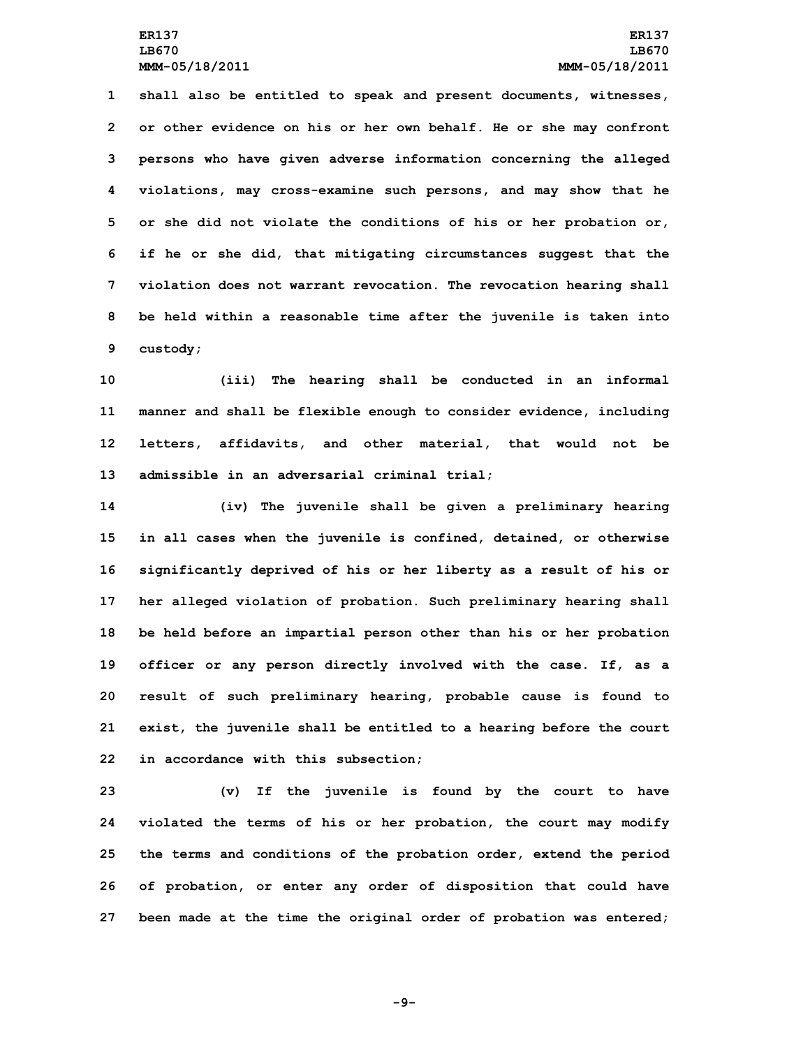**shall also be entitled to speak and present documents, witnesses, or other evidence on his or her own behalf. He or she may confront persons who have given adverse information concerning the alleged violations, may cross-examine such persons, and may show that he or she did not violate the conditions of his or her probation or, if he or she did, that mitigating circumstances suggest that the violation does not warrant revocation. The revocation hearing shall be held within <sup>a</sup> reasonable time after the juvenile is taken into 9 custody;**

 **(iii) The hearing shall be conducted in an informal manner and shall be flexible enough to consider evidence, including letters, affidavits, and other material, that would not be admissible in an adversarial criminal trial;**

 **(iv) The juvenile shall be given <sup>a</sup> preliminary hearing in all cases when the juvenile is confined, detained, or otherwise significantly deprived of his or her liberty as <sup>a</sup> result of his or her alleged violation of probation. Such preliminary hearing shall be held before an impartial person other than his or her probation officer or any person directly involved with the case. If, as <sup>a</sup> result of such preliminary hearing, probable cause is found to exist, the juvenile shall be entitled to <sup>a</sup> hearing before the court in accordance with this subsection;**

 **(v) If the juvenile is found by the court to have violated the terms of his or her probation, the court may modify the terms and conditions of the probation order, extend the period of probation, or enter any order of disposition that could have been made at the time the original order of probation was entered;**

**-9-**